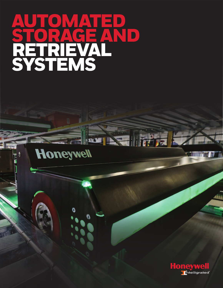# AUTOMATED STORAGE AND RETRIEVAL<br>SYSTEMS

Honeywell

 $\mathbb{H}^2$ 

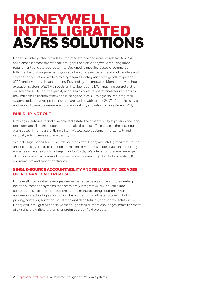# HONEYWELL INTELLIGRATED AS/RS SOLUTIONS

Honeywell Intelligrated provides automated storage and retrieval system (AS/RS) solutions to increase operational throughput and efficiency while reducing labor requirements and storage footprints. Designed to meet increased e-commerce fulfillment and storage demands, our solution offers a wide range of load handlers and storage configurations while providing seamless integration with goods-to-person (GTP) and inventory decant stations. Powered by our innovative Momentum warehouse execution system (WES) with Decision Intelligence and MC4 machine control platform, our scalable AS/RS shuttle quickly adapts to a variety of operational requirements to maximize the utilization of new and existing facilities. Our single-source integrated systems reduce overall project risk and are backed with robust 24X7 after-sales service and support to ensure maximum uptime, durability and return on investment (ROI).

## **BUILD UP, NOT OUT**

Growing inventories, lack of available real estate, the cost of facility expansion and labor pressures are all pushing operations to make the most efficient use of their existing workspaces. This means utilizing a facility's total cubic volume — horizontally and vertically — to increase storage density.

Scalable, high-speed AS/RS shuttle solutions from Honeywell Intelligrated feature endand intra-aisle vertical lift locations to maximize warehouse floor space and efficiently manage a wide array of stock keeping units (SKUs). We offer a comprehensive range of technologies to accommodate even the most demanding distribution center (DC) environments and space constraints.

### **SINGLE-SOURCE ACCOUNTABILITY AND RELIABILITY, DECADES OF INTEGRATION EXPERTISE**

Honeywell Intelligrated leverages deep experience designing and implementing holistic automation systems that seamlessly integrate AS/RS shuttles into comprehensive distribution, fulfillment and manufacturing solutions. With automation technologies built upon the Momentum software suite — including picking, conveyor, sortation, palletizing and depalletizing, and robotic solutions — Honeywell Intelligrated can solve the toughest fulfillment challenges, make the most of existing brownfield systems, or optimize greenfield projects.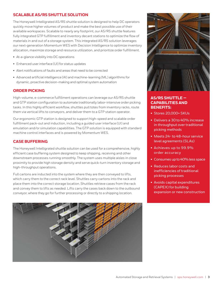#### **SCALABLE AS/RS SHUTTLE SOLUTION**

The Honeywell Intelligrated AS/RS shuttle solution is designed to help DC operators quickly move higher volumes of product and make the best possible use of their available workspaces. Scalable to nearly any footprint, our AS/RS shuttle features fully integrated GTP fulfillment and inventory decant stations to optimize the flow of materials in and out of a storage system. This integrated AS/RS solution leverages our next-generation Momentum WES with Decision Intelligence to optimize inventory allocation, maximize storage and resource utilization, and prioritize order fulfillment.

- At-a-glance visibility into DC operations
- Enhanced user interface (UI) for status updates
- Alert notifications of faults and areas that need to be corrected
- Advanced artificial intelligence (AI) and machine-learning (ML) algorithms for dynamic, proactive decision-making and optimal system automation

### **ORDER PICKING**

High-volume, e-commerce fulfillment operations can leverage our AS/RS shuttle and GTP station configuration to automate traditionally labor-intensive order picking tasks. In this highly efficient workflow, shuttles pull totes from inventory racks, route them via vertical lifts to conveyors, and deliver them to a GTP station operator.

Our ergonomic GTP station is designed to support high-speed and scalable order fulfillment pack-out and induction, including a guided user interface (UI) and emulation and/or simulation capabilities. The GTP solution is equipped with standard machine control interfaces and is powered by Momentum WES.

#### **CASE BUFFERING**

The Honeywell Intelligrated shuttle solution can be used for a comprehensive, highly efficient case buffering system designed to keep shipping, receiving and other downstream processes running smoothly. The system uses multiple aisles in close proximity to provide high storage density and serve quick-turn inventory storage and high-throughput operations.

Full cartons are inducted into the system where they are then conveyed to lifts, which carry them to the correct rack level. Shuttles carry cartons into the rack and place them into the correct storage location. Shuttles retrieve cases from the rack and convey them to lifts as needed. Lifts carry the cases back down to the outbound conveyor, where they go for further processing or directly to a shipping location.





### **AS/RS SHUTTLE — CAPABILITIES AND BENEFITS:**

- Stores 20,000+ SKUs
- Delivers a 30 to 40% increase in throughput over traditional picking methods
- Meets 24- to 48-hour service level agreements (SLAs)
- Achieves up to 99.9% order accuracy
- Consumes up to 40% less space
- Reduces labor costs and inefficiencies of traditional picking processes
- Avoids capital expenditures (CAPEX) for building expansion or new construction